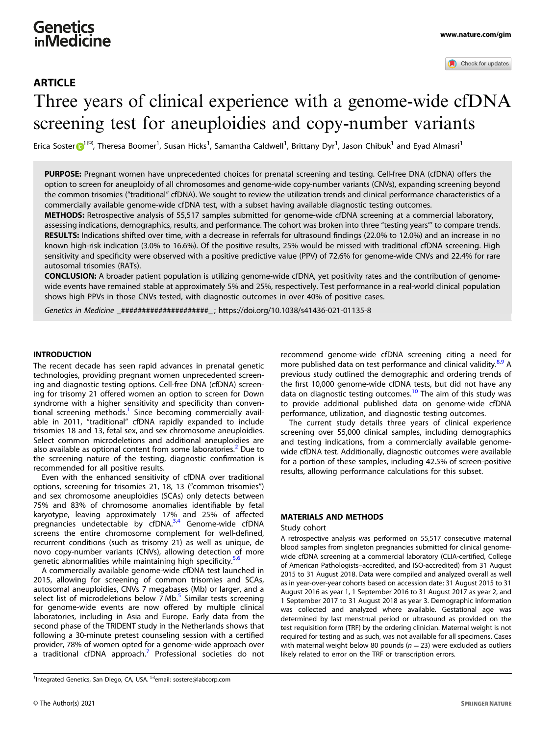# **Genetics** inMedicine

# ARTICLE Three years of clinical experience with a genome-wide cfDNA screening test for aneuploidies and copy-number variants

Erica Soster $\bigoplus^{1\boxtimes}$  $\bigoplus^{1\boxtimes}$  $\bigoplus^{1\boxtimes}$ , Theresa Boomer<sup>1</sup>, Susan Hicks<sup>1</sup>, Samantha Caldwell<sup>1</sup>, Brittany Dyr<sup>1</sup>, Jason Chibuk<sup>1</sup> and Eyad Almasri<sup>1</sup>

PURPOSE: Pregnant women have unprecedented choices for prenatal screening and testing. Cell-free DNA (cfDNA) offers the option to screen for aneuploidy of all chromosomes and genome-wide copy-number variants (CNVs), expanding screening beyond the common trisomies ("traditional" cfDNA). We sought to review the utilization trends and clinical performance characteristics of a commercially available genome-wide cfDNA test, with a subset having available diagnostic testing outcomes.

METHODS: Retrospective analysis of 55,517 samples submitted for genome-wide cfDNA screening at a commercial laboratory, assessing indications, demographics, results, and performance. The cohort was broken into three "testing years"' to compare trends. RESULTS: Indications shifted over time, with a decrease in referrals for ultrasound findings (22.0% to 12.0%) and an increase in no known high-risk indication (3.0% to 16.6%). Of the positive results, 25% would be missed with traditional cfDNA screening. High sensitivity and specificity were observed with a positive predictive value (PPV) of 72.6% for genome-wide CNVs and 22.4% for rare autosomal trisomies (RATs).

CONCLUSION: A broader patient population is utilizing genome-wide cfDNA, yet positivity rates and the contribution of genomewide events have remained stable at approximately 5% and 25%, respectively. Test performance in a real-world clinical population shows high PPVs in those CNVs tested, with diagnostic outcomes in over 40% of positive cases.

Genetics in Medicine \_#####################\_ ;<https://doi.org/10.1038/s41436-021-01135-8>

# **INTRODUCTION**

The recent decade has seen rapid advances in prenatal genetic technologies, providing pregnant women unprecedented screening and diagnostic testing options. Cell-free DNA (cfDNA) screening for trisomy 21 offered women an option to screen for Down syndrome with a higher sensitivity and specificity than conven-tional screening methods.<sup>[1](#page-5-0)</sup> Since becoming commercially available in 2011, "traditional" cfDNA rapidly expanded to include trisomies 18 and 13, fetal sex, and sex chromosome aneuploidies. Select common microdeletions and additional aneuploidies are also available as optional content from some laboratories.<sup>[2](#page-5-0)</sup> Due to the screening nature of the testing, diagnostic confirmation is recommended for all positive results.

Even with the enhanced sensitivity of cfDNA over traditional options, screening for trisomies 21, 18, 13 ("common trisomies") and sex chromosome aneuploidies (SCAs) only detects between 75% and 83% of chromosome anomalies identifiable by fetal karyotype, leaving approximately 17% and 25% of affected<br>pregnancies undetectable by cfDNA.<sup>[3](#page-5-0),[4](#page-5-0)</sup> Genome-wide cfDNA screens the entire chromosome complement for well-defined, recurrent conditions (such as trisomy 21) as well as unique, de novo copy-number variants (CNVs), allowing detection of more genetic abnormalities while maintaining high specificity.<sup>[5,6](#page-5-0)</sup>

A commercially available genome-wide cfDNA test launched in 2015, allowing for screening of common trisomies and SCAs, autosomal aneuploidies, CNVs 7 megabases (Mb) or larger, and a select list of microdeletions below  $7 \text{ Mb.}^5$  $7 \text{ Mb.}^5$  Similar tests screening for genome-wide events are now offered by multiple clinical laboratories, including in Asia and Europe. Early data from the second phase of the TRIDENT study in the Netherlands shows that following a 30-minute pretest counseling session with a certified provider, 78% of women opted for a genome-wide approach over a traditional cfDNA approach.<sup>[7](#page-5-0)</sup> Professional societies do not

<sup>1</sup>Integrated Genetics, San Diego, CA, USA. <sup>⊠</sup>email: [sostere@labcorp.com](mailto:sostere@labcorp.com)

recommend genome-wide cfDNA screening citing a need for more published data on test performance and clinical validity.<sup>[8](#page-5-0),[9](#page-5-0)</sup> A previous study outlined the demographic and ordering trends of the first 10,000 genome-wide cfDNA tests, but did not have any data on diagnostic testing outcomes.<sup>[10](#page-5-0)</sup> The aim of this study was to provide additional published data on genome-wide cfDNA performance, utilization, and diagnostic testing outcomes.

The current study details three years of clinical experience screening over 55,000 clinical samples, including demographics and testing indications, from a commercially available genomewide cfDNA test. Additionally, diagnostic outcomes were available for a portion of these samples, including 42.5% of screen-positive results, allowing performance calculations for this subset.

#### MATERIALS AND METHODS

#### Study cohort

A retrospective analysis was performed on 55,517 consecutive maternal blood samples from singleton pregnancies submitted for clinical genomewide cfDNA screening at a commercial laboratory (CLIA-certified, College of American Pathologists–accredited, and ISO-accredited) from 31 August 2015 to 31 August 2018. Data were compiled and analyzed overall as well as in year-over-year cohorts based on accession date: 31 August 2015 to 31 August 2016 as year 1, 1 September 2016 to 31 August 2017 as year 2, and 1 September 2017 to 31 August 2018 as year 3. Demographic information was collected and analyzed where available. Gestational age was determined by last menstrual period or ultrasound as provided on the test requisition form (TRF) by the ordering clinician. Maternal weight is not required for testing and as such, was not available for all specimens. Cases with maternal weight below 80 pounds ( $n = 23$ ) were excluded as outliers likely related to error on the TRF or transcription errors.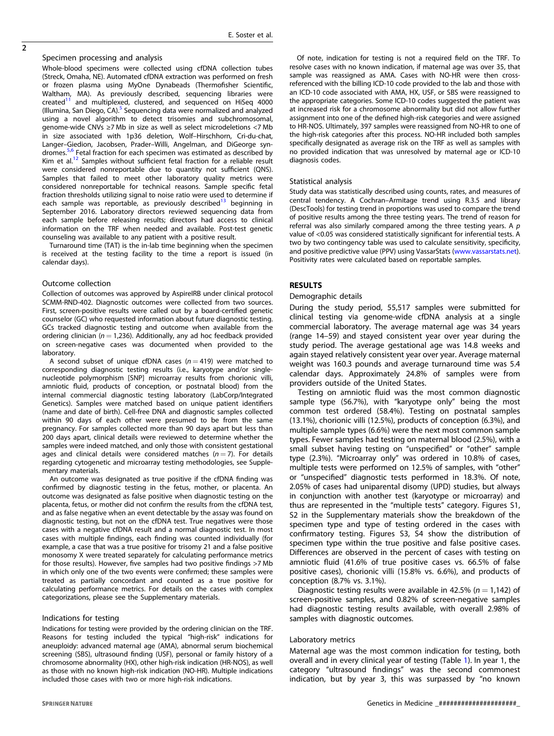$\overline{2}$ 

#### Specimen processing and analysis

Whole-blood specimens were collected using cfDNA collection tubes (Streck, Omaha, NE). Automated cfDNA extraction was performed on fresh or frozen plasma using MyOne Dynabeads (Thermofisher Scientific, Waltham, MA). As previously described, sequencing libraries were<br>created<sup>11</sup> and multiplexed, clustered, and sequenced on HiSeq 4000 (Illumina, San Diego,  $CA$ ).<sup>[5](#page-5-0)</sup> Sequencing data were normalized and analyzed using a novel algorithm to detect trisomies and subchromosomal, genome-wide CNVs ≥7 Mb in size as well as select microdeletions <7 Mb in size associated with 1p36 deletion, Wolf–Hirschhorn, Cri-du-chat, Langer–Giedion, Jacobsen, Prader–Willi, Angelman, and DiGeorge syndromes.<sup>5,6</sup> Fetal fraction for each specimen was estimated as described by Kim et al.<sup>12</sup> Samples without sufficient fetal fraction for a reliable result were considered nonreportable due to quantity not sufficient (QNS). Samples that failed to meet other laboratory quality metrics were considered nonreportable for technical reasons. Sample specific fetal fraction thresholds utilizing signal to noise ratio were used to determine if each sample was reportable, as previously described<sup>13</sup> beginning in September 2016. Laboratory directors reviewed sequencing data from each sample before releasing results; directors had access to clinical information on the TRF when needed and available. Post-test genetic counseling was available to any patient with a positive result.

Turnaround time (TAT) is the in-lab time beginning when the specimen is received at the testing facility to the time a report is issued (in calendar days).

## Outcome collection

Collection of outcomes was approved by AspireIRB under clinical protocol SCMM-RND-402. Diagnostic outcomes were collected from two sources. First, screen-positive results were called out by a board-certified genetic counselor (GC) who requested information about future diagnostic testing. GCs tracked diagnostic testing and outcome when available from the ordering clinician ( $n = 1,236$ ). Additionally, any ad hoc feedback provided on screen-negative cases was documented when provided to the laboratory.

A second subset of unique cfDNA cases ( $n = 419$ ) were matched to corresponding diagnostic testing results (i.e., karyotype and/or singlenucleotide polymorphism [SNP] microarray results from chorionic villi, amniotic fluid, products of conception, or postnatal blood) from the internal commercial diagnostic testing laboratory (LabCorp/Integrated Genetics). Samples were matched based on unique patient identifiers (name and date of birth). Cell-free DNA and diagnostic samples collected within 90 days of each other were presumed to be from the same pregnancy. For samples collected more than 90 days apart but less than 200 days apart, clinical details were reviewed to determine whether the samples were indeed matched, and only those with consistent gestational ages and clinical details were considered matches  $(n = 7)$ . For details regarding cytogenetic and microarray testing methodologies, see Supplementary materials.

An outcome was designated as true positive if the cfDNA finding was confirmed by diagnostic testing in the fetus, mother, or placenta. An outcome was designated as false positive when diagnostic testing on the placenta, fetus, or mother did not confirm the results from the cfDNA test, and as false negative when an event detectable by the assay was found on diagnostic testing, but not on the cfDNA test. True negatives were those cases with a negative cfDNA result and a normal diagnostic test. In most cases with multiple findings, each finding was counted individually (for example, a case that was a true positive for trisomy 21 and a false positive monosomy X were treated separately for calculating performance metrics for those results). However, five samples had two positive findings >7 Mb in which only one of the two events were confirmed; these samples were treated as partially concordant and counted as a true positive for calculating performance metrics. For details on the cases with complex categorizations, please see the Supplementary materials.

#### Indications for testing

Indications for testing were provided by the ordering clinician on the TRF. Reasons for testing included the typical "high-risk" indications for aneuploidy: advanced maternal age (AMA), abnormal serum biochemical screening (SBS), ultrasound finding (USF), personal or family history of a chromosome abnormality (HX), other high-risk indication (HR-NOS), as well as those with no known high-risk indication (NO-HR). Multiple indications included those cases with two or more high-risk indications.

Of note, indication for testing is not a required field on the TRF. To resolve cases with no known indication, if maternal age was over 35, that sample was reassigned as AMA. Cases with NO-HR were then crossreferenced with the billing ICD-10 code provided to the lab and those with an ICD-10 code associated with AMA, HX, USF, or SBS were reassigned to the appropriate categories. Some ICD-10 codes suggested the patient was at increased risk for a chromosome abnormality but did not allow further assignment into one of the defined high-risk categories and were assigned to HR-NOS. Ultimately, 397 samples were reassigned from NO-HR to one of the high-risk categories after this process. NO-HR included both samples specifically designated as average risk on the TRF as well as samples with no provided indication that was unresolved by maternal age or ICD-10 diagnosis codes.

#### Statistical analysis

Study data was statistically described using counts, rates, and measures of central tendency. A Cochran–Armitage trend using R.3.5 and library (DescTools) for testing trend in proportions was used to compare the trend of positive results among the three testing years. The trend of reason for referral was also similarly compared among the three testing years. A  $p$ value of <0.05 was considered statistically significant for inferential tests. A two by two contingency table was used to calculate sensitivity, specificity, and positive predictive value (PPV) using VassarStats ([www.vassarstats.net\)](http://www.vassarstats.net). Positivity rates were calculated based on reportable samples.

# RESULTS

#### Demographic details

During the study period, 55,517 samples were submitted for clinical testing via genome-wide cfDNA analysis at a single commercial laboratory. The average maternal age was 34 years (range 14–59) and stayed consistent year over year during the study period. The average gestational age was 14.8 weeks and again stayed relatively consistent year over year. Average maternal weight was 160.3 pounds and average turnaround time was 5.4 calendar days. Approximately 24.8% of samples were from providers outside of the United States.

Testing on amniotic fluid was the most common diagnostic sample type (56.7%), with "karyotype only" being the most common test ordered (58.4%). Testing on postnatal samples (13.1%), chorionic villi (12.5%), products of conception (6.3%), and multiple sample types (6.6%) were the next most common sample types. Fewer samples had testing on maternal blood (2.5%), with a small subset having testing on "unspecified" or "other" sample type (2.3%). "Microarray only" was ordered in 10.8% of cases, multiple tests were performed on 12.5% of samples, with "other" or "unspecified" diagnostic tests performed in 18.3%. Of note, 2.05% of cases had uniparental disomy (UPD) studies, but always in conjunction with another test (karyotype or microarray) and thus are represented in the "multiple tests" category. Figures S1, S2 in the Supplementary materials show the breakdown of the specimen type and type of testing ordered in the cases with confirmatory testing. Figures S3, S4 show the distribution of specimen type within the true positive and false positive cases. Differences are observed in the percent of cases with testing on amniotic fluid (41.6% of true positive cases vs. 66.5% of false positive cases), chorionic villi (15.8% vs. 6.6%), and products of conception (8.7% vs. 3.1%).

Diagnostic testing results were available in 42.5% ( $n = 1,142$ ) of screen-positive samples, and 0.82% of screen-negative samples had diagnostic testing results available, with overall 2.98% of samples with diagnostic outcomes.

#### Laboratory metrics

Maternal age was the most common indication for testing, both overall and in every clinical year of testing (Table [1](#page-2-0)). In year 1, the category "ultrasound findings" was the second commonest indication, but by year 3, this was surpassed by "no known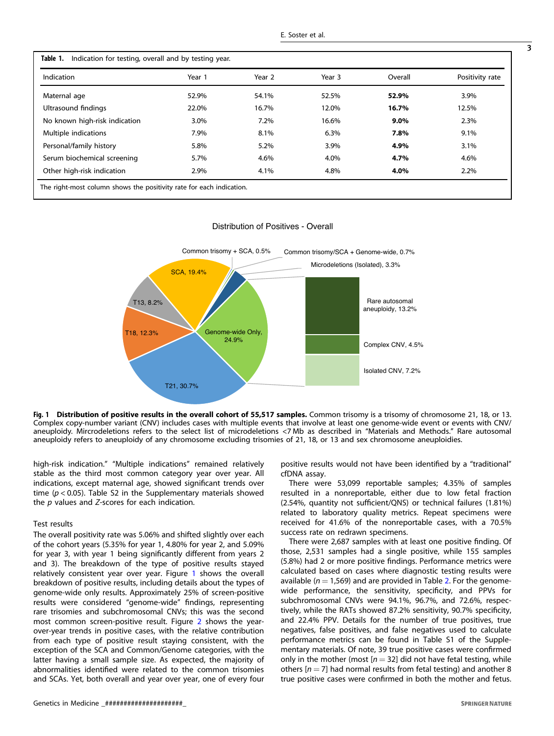<span id="page-2-0"></span>

| Indication                    | Year 1 | Year 2 | Year 3 | Overall | Positivity rate |
|-------------------------------|--------|--------|--------|---------|-----------------|
| Maternal age                  | 52.9%  | 54.1%  | 52.5%  | 52.9%   | 3.9%            |
| Ultrasound findings           | 22.0%  | 16.7%  | 12.0%  | 16.7%   | 12.5%           |
| No known high-risk indication | 3.0%   | 7.2%   | 16.6%  | $9.0\%$ | 2.3%            |
| Multiple indications          | 7.9%   | 8.1%   | 6.3%   | 7.8%    | 9.1%            |
| Personal/family history       | 5.8%   | 5.2%   | 3.9%   | 4.9%    | 3.1%            |
| Serum biochemical screening   | 5.7%   | 4.6%   | 4.0%   | 4.7%    | 4.6%            |
| Other high-risk indication    | 2.9%   | 4.1%   | 4.8%   | 4.0%    | 2.2%            |

Distribution of Positives - Overall



Fig. 1 Distribution of positive results in the overall cohort of 55,517 samples. Common trisomy is a trisomy of chromosome 21, 18, or 13. Complex copy-number variant (CNV) includes cases with multiple events that involve at least one genome-wide event or events with CNV/ aneuploidy. Mircrodeletions refers to the select list of microdeletions <7 Mb as described in "Materials and Methods." Rare autosomal aneuploidy refers to aneuploidy of any chromosome excluding trisomies of 21, 18, or 13 and sex chromosome aneuploidies.

high-risk indication." "Multiple indications" remained relatively stable as the third most common category year over year. All indications, except maternal age, showed significant trends over time ( $p < 0.05$ ). Table S2 in the Supplementary materials showed the  $p$  values and  $Z$ -scores for each indication.

#### Test results

The overall positivity rate was 5.06% and shifted slightly over each of the cohort years (5.35% for year 1, 4.80% for year 2, and 5.09% for year 3, with year 1 being significantly different from years 2 and 3). The breakdown of the type of positive results stayed relatively consistent year over year. Figure 1 shows the overall breakdown of positive results, including details about the types of genome-wide only results. Approximately 25% of screen-positive results were considered "genome-wide" findings, representing rare trisomies and subchromosomal CNVs; this was the second most common screen-positive result. Figure [2](#page-3-0) shows the yearover-year trends in positive cases, with the relative contribution from each type of positive result staying consistent, with the exception of the SCA and Common/Genome categories, with the latter having a small sample size. As expected, the majority of abnormalities identified were related to the common trisomies and SCAs. Yet, both overall and year over year, one of every four positive results would not have been identified by a "traditional" cfDNA assay.

There were 53,099 reportable samples; 4.35% of samples resulted in a nonreportable, either due to low fetal fraction (2.54%, quantity not sufficient/QNS) or technical failures (1.81%) related to laboratory quality metrics. Repeat specimens were received for 41.6% of the nonreportable cases, with a 70.5% success rate on redrawn specimens.

There were 2,687 samples with at least one positive finding. Of those, 2,531 samples had a single positive, while 155 samples (5.8%) had 2 or more positive findings. Performance metrics were calculated based on cases where diagnostic testing results were available ( $n = 1,569$ ) and are provided in Table [2.](#page-4-0) For the genomewide performance, the sensitivity, specificity, and PPVs for subchromosomal CNVs were 94.1%, 96.7%, and 72.6%, respectively, while the RATs showed 87.2% sensitivity, 90.7% specificity, and 22.4% PPV. Details for the number of true positives, true negatives, false positives, and false negatives used to calculate performance metrics can be found in Table S1 of the Supplementary materials. Of note, 39 true positive cases were confirmed only in the mother (most  $[n = 32]$  did not have fetal testing, while others  $[n = 7]$  had normal results from fetal testing) and another 8 true positive cases were confirmed in both the mother and fetus.

3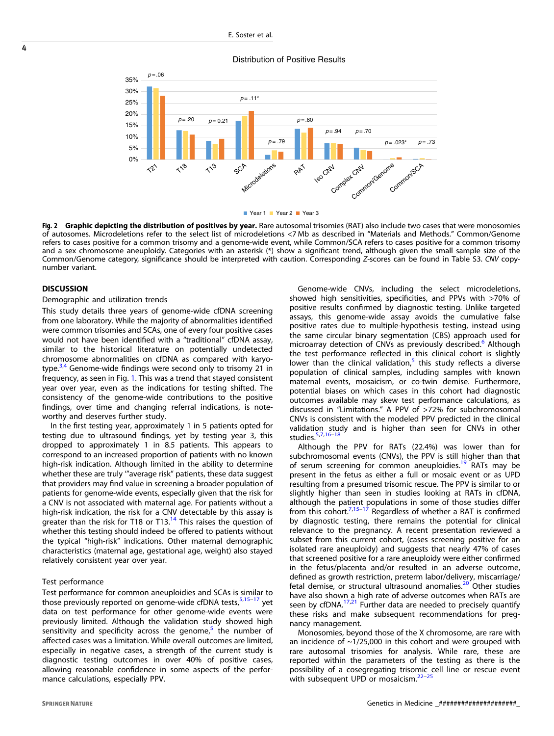<span id="page-3-0"></span>

**Fig. 2 Graphic depicting the distribution of positives by year.** Rare autosomal trisomies (RAT) also include two cases that were monosomies<br>of autosomes. Microdeletions refer to the select list of microdeletions <7Mb as d refers to cases positive for a common trisomy and a genome-wide event, while Common/SCA refers to cases positive for a common trisomy and a sex chromosome aneuploidy. Categories with an asterisk  $(*)$  show a significant trend, although given the small sample size of the Common/Genome category, significance should be interpreted with caution. Corresponding Z-scores can be found in Table S3. CNV copynumber variant.

#### **DISCUSSION**

#### Demographic and utilization trends

This study details three years of genome-wide cfDNA screening from one laboratory. While the majority of abnormalities identified were common trisomies and SCAs, one of every four positive cases would not have been identified with a "traditional" cfDNA assay, similar to the historical literature on potentially undetected chromosome abnormalities on cfDNA as compared with karyo-type.<sup>[3,4](#page-5-0)</sup> Genome-wide findings were second only to trisomy 21 in frequency, as seen in Fig. [1](#page-2-0). This was a trend that stayed consistent year over year, even as the indications for testing shifted. The consistency of the genome-wide contributions to the positive findings, over time and changing referral indications, is noteworthy and deserves further study.

In the first testing year, approximately 1 in 5 patients opted for testing due to ultrasound findings, yet by testing year 3, this dropped to approximately 1 in 8.5 patients. This appears to correspond to an increased proportion of patients with no known high-risk indication. Although limited in the ability to determine whether these are truly ""average risk" patients, these data suggest that providers may find value in screening a broader population of patients for genome-wide events, especially given that the risk for a CNV is not associated with maternal age. For patients without a high-risk indication, the risk for a CNV detectable by this assay is greater than the risk for T18 or T13. $<sup>14</sup>$  $<sup>14</sup>$  $<sup>14</sup>$  This raises the question of</sup> whether this testing should indeed be offered to patients without the typical "high-risk" indications. Other maternal demographic characteristics (maternal age, gestational age, weight) also stayed relatively consistent year over year.

# Test performance

Test performance for common aneuploidies and SCAs is similar to those previously reported on genome-wide cfDNA tests,<sup>[5,15](#page-5-0)-[17](#page-5-0)</sup> yet data on test performance for other genome-wide events were previously limited. Although the validation study showed high sensitivity and specificity across the genome, $5$  the number of affected cases was a limitation. While overall outcomes are limited, especially in negative cases, a strength of the current study is diagnostic testing outcomes in over 40% of positive cases, allowing reasonable confidence in some aspects of the performance calculations, especially PPV.

Genome-wide CNVs, including the select microdeletions, showed high sensitivities, specificities, and PPVs with >70% of positive results confirmed by diagnostic testing. Unlike targeted assays, this genome-wide assay avoids the cumulative false positive rates due to multiple-hypothesis testing, instead using the same circular binary segmentation (CBS) approach used for microarray detection of CNVs as previously described.<sup>[6](#page-5-0)</sup> Although the test performance reflected in this clinical cohort is slightly lower than the clinical validation,<sup>[5](#page-5-0)</sup> this study reflects a diverse population of clinical samples, including samples with known maternal events, mosaicism, or co-twin demise. Furthermore, potential biases on which cases in this cohort had diagnostic outcomes available may skew test performance calculations, as discussed in "Limitations." A PPV of >72% for subchromosomal CNVs is consistent with the modeled PPV predicted in the clinical validation study and is higher than seen for CNVs in other studies. $5,7,16-18$  $5,7,16-18$  $5,7,16-18$ 

Although the PPV for RATs (22.4%) was lower than for subchromosomal events (CNVs), the PPV is still higher than that of serum screening for common aneuploidies.<sup>[19](#page-5-0)</sup> RATs may be present in the fetus as either a full or mosaic event or as UPD resulting from a presumed trisomic rescue. The PPV is similar to or slightly higher than seen in studies looking at RATs in cfDNA, although the patient populations in some of those studies differ from this cohort.<sup>[7](#page-5-0),[15](#page-5-0)–[17](#page-5-0)</sup> Regardless of whether a RAT is confirmed by diagnostic testing, there remains the potential for clinical relevance to the pregnancy. A recent presentation reviewed a subset from this current cohort, (cases screening positive for an isolated rare aneuploidy) and suggests that nearly 47% of cases that screened positive for a rare aneuploidy were either confirmed in the fetus/placenta and/or resulted in an adverse outcome, defined as growth restriction, preterm labor/delivery, miscarriage/ fetal demise, or structural ultrasound anomalies.<sup>[20](#page-5-0)</sup> Other studies have also shown a high rate of adverse outcomes when RATs are seen by cfDNA. $17,21$  Further data are needed to precisely quantify these risks and make subsequent recommendations for pregnancy management.

Monosomies, beyond those of the X chromosome, are rare with an incidence of  $\sim$ 1/25,000 in this cohort and were grouped with rare autosomal trisomies for analysis. While rare, these are reported within the parameters of the testing as there is the possibility of a cosegregating trisomic cell line or rescue event with subsequent UPD or mosaicism. $2^{2-2}$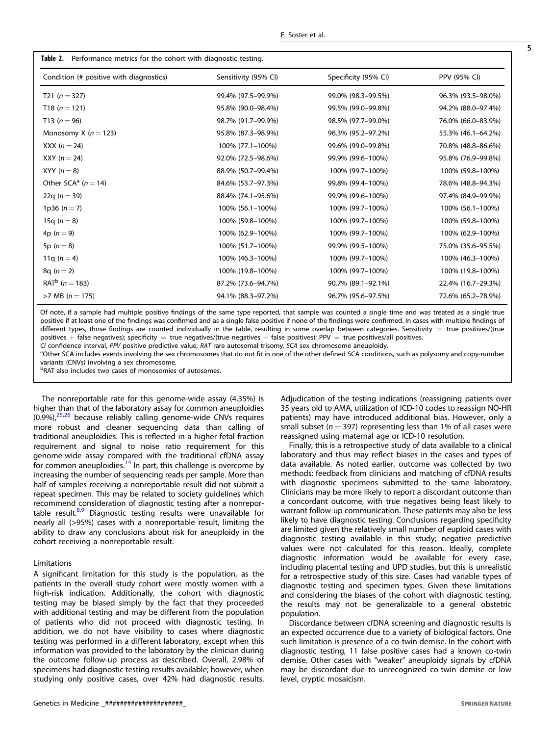<span id="page-4-0"></span>

| Condition (# positive with diagnostics) | Sensitivity (95% CI) | Specificity (95% CI) | PPV (95% CI)       |
|-----------------------------------------|----------------------|----------------------|--------------------|
| T21 ( $n = 327$ )                       | 99.4% (97.5-99.9%)   | 99.0% (98.3-99.5%)   | 96.3% (93.5-98.0%) |
| T18 ( $n = 121$ )                       | 95.8% (90.0-98.4%)   | 99.5% (99.0-99.8%)   | 94.2% (88.0-97.4%) |
| T13 ( $n = 96$ )                        | 98.7% (91.7-99.9%)   | 98.5% (97.7-99.0%)   | 76.0% (66.0-83.9%) |
| Monosomy X ( $n = 123$ )                | 95.8% (87.3-98.9%)   | 96.3% (95.2-97.2%)   | 55.3% (46.1-64.2%) |
| XXX ( $n = 24$ )                        | 100% (77.1-100%)     | 99.6% (99.0-99.8%)   | 70.8% (48.8-86.6%) |
| XXY ( $n = 24$ )                        | 92.0% (72.5-98.6%)   | 99.9% (99.6-100%)    | 95.8% (76.9-99.8%) |
| XYY $(n=8)$                             | 88.9% (50.7-99.4%)   | 100% (99.7-100%)     | 100% (59.8-100%)   |
| Other SCA <sup>a</sup> ( $n = 14$ )     | 84.6% (53.7-97.3%)   | 99.8% (99.4-100%)    | 78.6% (48.8-94.3%) |
| 22q ( $n = 39$ )                        | 88.4% (74.1-95.6%)   | 99.9% (99.6-100%)    | 97.4% (84.9-99.9%) |
| 1p36 $(n=7)$                            | 100% (56.1-100%)     | 100% (99.7–100%)     | 100% (56.1–100%)   |
| 15q ( $n = 8$ )                         | 100% (59.8-100%)     | 100% (99.7-100%)     | 100% (59.8-100%)   |
| 4p $(n = 9)$                            | 100% (62.9-100%)     | 100% (99.7-100%)     | 100% (62.9-100%)   |
| 5p $(n = 8)$                            | 100% (51.7-100%)     | 99.9% (99.5-100%)    | 75.0% (35.6-95.5%) |
| 11q $(n=4)$                             | 100% (46.3-100%)     | 100% (99.7-100%)     | 100% (46.3-100%)   |
| $8q (n = 2)$                            | 100% (19.8-100%)     | 100% (99.7-100%)     | 100% (19.8-100%)   |
| $RAT^b$ ( <i>n</i> = 183)               | 87.2% (73.6-94.7%)   | 90.7% (89.1-92.1%)   | 22.4% (16.7-29.3%) |
| $>7$ MB ( $n = 175$ )                   | 94.1% (88.3-97.2%)   | 96.7% (95.6-97.5%)   | 72.6% (65.2-78.9%) |

Of note, if a sample had multiple positive findings of the same type reported, that sample was counted a single time and was treated as a single true positive if at least one of the findings was confirmed and as a single false positive if none of the findings were confirmed. In cases with multiple findings of different types, those findings are counted individually in the table, resulting in some overlap between categories. Sensitivity = true positives/(true positives + false negatives); specificity = true negatives/(true negatives + false positives); PPV = true positives/all positives.

CI confidence interval, PPV positive predictive value, RAT rare autosomal trisomy, SCA sex chromosome aneuploidy.

<sup>a</sup>Other SCA includes events involving the sex chromosomes that do not fit in one of the other defined SCA conditions, such as polysomy and copy-number variants (CNVs) involving a sex chromosome.

b RAT also includes two cases of monosomies of autosomes.

The nonreportable rate for this genome-wide assay (4.35%) is higher than that of the laboratory assay for common aneuploidies  $(0.9\%)$ ,  $^{25,26}$  $^{25,26}$  $^{25,26}$  because reliably calling genome-wide CNVs requires more robust and cleaner sequencing data than calling of traditional aneuploidies. This is reflected in a higher fetal fraction requirement and signal to noise ratio requirement for this genome-wide assay compared with the traditional cfDNA assay for common aneuploidies.<sup>[14](#page-5-0)</sup> In part, this challenge is overcome by increasing the number of sequencing reads per sample. More than half of samples receiving a nonreportable result did not submit a repeat specimen. This may be related to society guidelines which recommend consideration of diagnostic testing after a nonreportable result. $8,9$  Diagnostic testing results were unavailable for nearly all (>95%) cases with a nonreportable result, limiting the ability to draw any conclusions about risk for aneuploidy in the cohort receiving a nonreportable result.

#### Limitations

A significant limitation for this study is the population, as the patients in the overall study cohort were mostly women with a high-risk indication. Additionally, the cohort with diagnostic testing may be biased simply by the fact that they proceeded with additional testing and may be different from the population of patients who did not proceed with diagnostic testing. In addition, we do not have visibility to cases where diagnostic testing was performed in a different laboratory, except when this information was provided to the laboratory by the clinician during the outcome follow-up process as described. Overall, 2.98% of specimens had diagnostic testing results available; however, when studying only positive cases, over 42% had diagnostic results. Adjudication of the testing indications (reassigning patients over 35 years old to AMA, utilization of ICD-10 codes to reassign NO-HR patients) may have introduced additional bias. However, only a small subset ( $n = 397$ ) representing less than 1% of all cases were reassigned using maternal age or ICD-10 resolution.

Finally, this is a retrospective study of data available to a clinical laboratory and thus may reflect biases in the cases and types of data available. As noted earlier, outcome was collected by two methods: feedback from clinicians and matching of cfDNA results with diagnostic specimens submitted to the same laboratory. Clinicians may be more likely to report a discordant outcome than a concordant outcome, with true negatives being least likely to warrant follow-up communication. These patients may also be less likely to have diagnostic testing. Conclusions regarding specificity are limited given the relatively small number of euploid cases with diagnostic testing available in this study; negative predictive values were not calculated for this reason. Ideally, complete diagnostic information would be available for every case, including placental testing and UPD studies, but this is unrealistic for a retrospective study of this size. Cases had variable types of diagnostic testing and specimen types. Given these limitations and considering the biases of the cohort with diagnostic testing, the results may not be generalizable to a general obstetric population.

Discordance between cfDNA screening and diagnostic results is an expected occurrence due to a variety of biological factors. One such limitation is presence of a co-twin demise. In the cohort with diagnostic testing, 11 false positive cases had a known co-twin demise. Other cases with "weaker" aneuploidy signals by cfDNA may be discordant due to unrecognized co-twin demise or low level, cryptic mosaicism.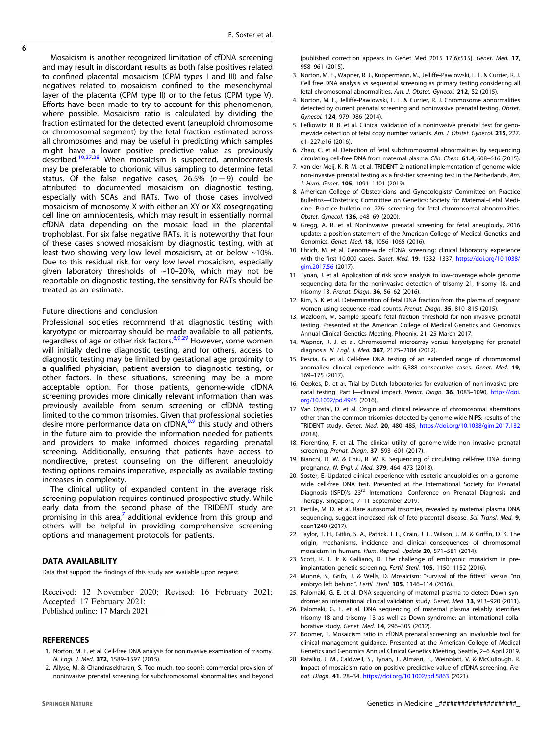<span id="page-5-0"></span> $\overline{6}$ 

Mosaicism is another recognized limitation of cfDNA screening and may result in discordant results as both false positives related to confined placental mosaicism (CPM types I and III) and false negatives related to mosaicism confined to the mesenchymal layer of the placenta (CPM type II) or to the fetus (CPM type V). Efforts have been made to try to account for this phenomenon, where possible. Mosaicism ratio is calculated by dividing the fraction estimated for the detected event (aneuploid chromosome or chromosomal segment) by the fetal fraction estimated across all chromosomes and may be useful in predicting which samples might have a lower positive predictive value as previously described.<sup>10,27,28</sup> When mosaicism is suspected, amniocentesis may be preferable to chorionic villus sampling to determine fetal status. Of the false negative cases, 26.5%  $(n = 9)$  could be attributed to documented mosaicism on diagnostic testing, especially with SCAs and RATs. Two of those cases involved mosaicism of monosomy X with either an XY or XX cosegregating cell line on amniocentesis, which may result in essentially normal cfDNA data depending on the mosaic load in the placental trophoblast. For six false negative RATs, it is noteworthy that four of these cases showed mosaicism by diagnostic testing, with at least two showing very low level mosaicism, at or below ~10%. Due to this residual risk for very low level mosaicism, especially given laboratory thresholds of  $\sim$ 10–20%, which may not be reportable on diagnostic testing, the sensitivity for RATs should be treated as an estimate.

#### Future directions and conclusion

Professional societies recommend that diagnostic testing with karyotype or microarray should be made available to all patients, regardless of age or other risk factors.<sup>8,9,[29](#page-6-0)</sup> However, some women will initially decline diagnostic testing, and for others, access to diagnostic testing may be limited by gestational age, proximity to a qualified physician, patient aversion to diagnostic testing, or other factors. In these situations, screening may be a more acceptable option. For those patients, genome-wide cfDNA screening provides more clinically relevant information than was previously available from serum screening or cfDNA testing limited to the common trisomies. Given that professional societies desire more performance data on cfDNA,<sup>8,9</sup> this study and others in the future aim to provide the information needed for patients and providers to make informed choices regarding prenatal screening. Additionally, ensuring that patients have access to nondirective, pretest counseling on the different aneuploidy testing options remains imperative, especially as available testing increases in complexity.

The clinical utility of expanded content in the average risk screening population requires continued prospective study. While early data from the second phase of the TRIDENT study are promising in this area, $\prime$  additional evidence from this group and others will be helpful in providing comprehensive screening options and management protocols for patients.

## DATA AVAILABILITY

Data that support the findings of this study are available upon request.

Received: 12 November 2020; Revised: 16 February 2021; Accepted: 17 February 2021; Published online: 17 March 2021

#### REFERENCES

- 1. Norton, M. E. et al. Cell-free DNA analysis for noninvasive examination of trisomy. N. Engl. J. Med. 372, 1589–1597 (2015).
- 2. Allyse, M. & Chandrasekharan, S. Too much, too soon?: commercial provision of noninvasive prenatal screening for subchromosomal abnormalities and beyond

[published correction appears in Genet Med 2015 17(6):515]. Genet. Med. 17, 958–961 (2015).

- 3. Norton, M. E., Wapner, R. J., Kuppermann, M., Jelliffe-Pawlowski, L. L. & Currier, R. J. Cell free DNA analysis vs sequential screening as primary testing considering all fetal chromosomal abnormalities. Am. J. Obstet. Gynecol. 212, S2 (2015).
- 4. Norton, M. E., Jelliffe-Pawlowski, L. L. & Currier, R. J. Chromosome abnormalities detected by current prenatal screening and noninvasive prenatal testing. Obstet. Gynecol. 124, 979–986 (2014).
- 5. Lefkowitz, R. B. et al. Clinical validation of a noninvasive prenatal test for genomewide detection of fetal copy number variants. Am. J. Obstet. Gynecol. 215, 227. e1–227.e16 (2016).
- 6. Zhao, C. et al. Detection of fetal subchromosomal abnormalities by sequencing circulating cell-free DNA from maternal plasma. Clin. Chem. 61.4, 608–616 (2015).
- 7. van der Meij, K. R. M. et al. TRIDENT-2: national implementation of genome-wide non-invasive prenatal testing as a first-tier screening test in the Netherlands. Am. J. Hum. Genet. 105, 1091–1101 (2019).
- 8. American College of Obstetricians and Gynecologists' Committee on Practice Bulletins—Obstetrics; Committee on Genetics; Society for Maternal–Fetal Medicine. Practice bulletin no. 226: screening for fetal chromosomal abnormalities. Obstet. Gynecol. 136, e48–69 (2020).
- 9. Gregg, A. R. et al. Noninvasive prenatal screening for fetal aneuploidy, 2016 update: a position statement of the American College of Medical Genetics and Genomics. Genet. Med. 18, 1056–1065 (2016).
- 10. Ehrich, M. et al. Genome-wide cfDNA screening: clinical laboratory experience with the first 10,000 cases. Genet. Med. 19, 1332–1337, [https://doi.org/10.1038/](https://doi.org/10.1038/gim.2017.56) [gim.2017.56](https://doi.org/10.1038/gim.2017.56) (2017).
- 11. Tynan, J. et al. Application of risk score analysis to low-coverage whole genome sequencing data for the noninvasive detection of trisomy 21, trisomy 18, and trisomy 13. Prenat. Diagn. 36, 56–62 (2016).
- 12. Kim, S. K. et al. Determination of fetal DNA fraction from the plasma of pregnant women using sequence read counts. Prenat. Diagn. 35, 810-815 (2015).
- 13. Mazloom, M. Sample specific fetal fraction threshold for non-invasive prenatal testing. Presented at the American College of Medical Genetics and Genomics Annual Clinical Genetics Meeting. Phoenix, 21–25 March 2017.
- 14. Wapner, R. J. et al. Chromosomal microarray versus karyotyping for prenatal diagnosis. N. Engl. J. Med. 367, 2175–2184 (2012).
- 15. Pescia, G. et al. Cell-free DNA testing of an extended range of chromosomal anomalies: clinical experience with 6,388 consecutive cases. Genet. Med. 19, 169–175 (2017).
- 16. Oepkes, D. et al. Trial by Dutch laboratories for evaluation of non-invasive prenatal testing. Part I-clinical impact. Prenat. Diagn. 36, 1083-1090, [https://doi.](https://doi.org/10.1002/pd.4945) [org/10.1002/pd.4945](https://doi.org/10.1002/pd.4945) (2016).
- 17. Van Opstal, D. et al. Origin and clinical relevance of chromosomal aberrations other than the common trisomies detected by genome-wide NIPS: results of the TRIDENT study. Genet. Med. 20, 480–485, <https://doi.org/10.1038/gim.2017.132> (2018).
- 18. Fiorentino, F. et al. The clinical utility of genome-wide non invasive prenatal screening. Prenat. Diagn. 37, 593–601 (2017).
- 19. Bianchi, D. W. & Chiu, R. W. K. Sequencing of circulating cell-free DNA during pregnancy. N. Engl. J. Med. 379, 464–473 (2018).
- 20. Soster, E. Updated clinical experience with esoteric aneuploidies on a genomewide cell-free DNA test. Presented at the International Society for Prenatal Diagnosis (ISPD)'s 23<sup>rd</sup> International Conference on Prenatal Diagnosis and Therapy. Singapore, 7–11 September 2019.
- 21. Pertile, M. D. et al. Rare autosomal trisomies, revealed by maternal plasma DNA sequencing, suggest increased risk of feto-placental disease. Sci. Transl. Med. 9, eaan1240 (2017).
- 22. Taylor, T. H., Gitlin, S. A., Patrick, J. L., Crain, J. L., Wilson, J. M. & Griffin, D. K. The origin, mechanisms, incidence and clinical consequences of chromosomal mosaicism in humans. Hum. Reprod. Update 20, 571–581 (2014).
- 23. Scott, R. T. Jr & Galliano, D. The challenge of embryonic mosaicism in preimplantation genetic screening. Fertil. Steril. 105, 1150–1152 (2016).
- 24. Munné, S., Grifo, J. & Wells, D. Mosaicism: "survival of the fittest" versus "no embryo left behind". Fertil. Steril. 105, 1146–114 (2016).
- 25. Palomaki, G. E. et al. DNA sequencing of maternal plasma to detect Down syndrome: an international clinical validation study. Genet. Med. 13, 913-920 (2011).
- 26. Palomaki, G. E. et al. DNA sequencing of maternal plasma reliably identifies trisomy 18 and trisomy 13 as well as Down syndrome: an international collaborative study. Genet. Med. 14, 296–305 (2012).
- 27. Boomer, T. Mosaicism ratio in cfDNA prenatal screening: an invaluable tool for clinical management guidance. Presented at the American College of Medical Genetics and Genomics Annual Clinical Genetics Meeting, Seattle, 2–6 April 2019.
- 28. Rafalko, J. M., Caldwell, S., Tynan, J., Almasri, E., Weinblatt, V. & McCullough, R. Impact of mosaicism ratio on positive predictive value of cfDNA screening. Prenat. Diagn. 41, 28–34. <https://doi.org/10.1002/pd.5863> (2021).